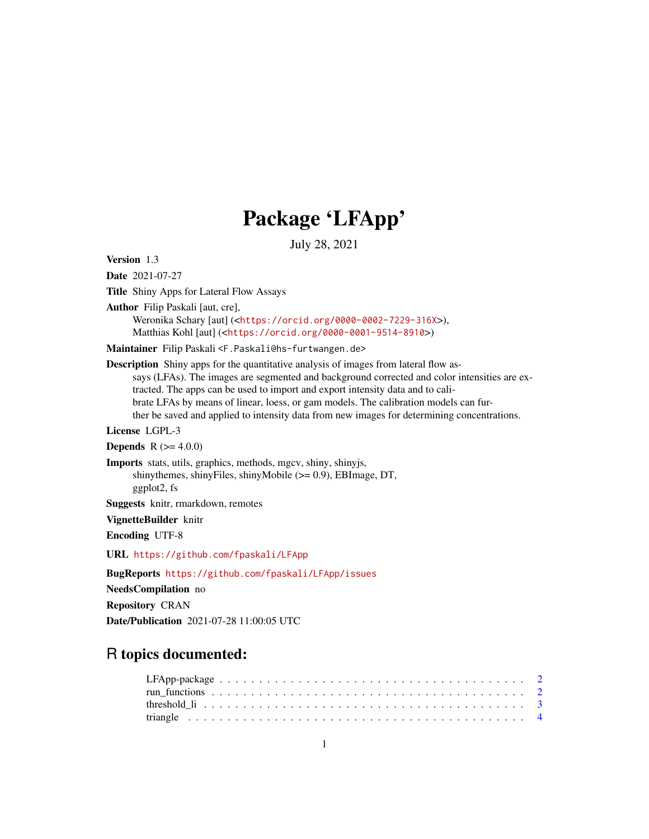## Package 'LFApp'

July 28, 2021

Version 1.3

Date 2021-07-27

Title Shiny Apps for Lateral Flow Assays

Author Filip Paskali [aut, cre], Weronika Schary [aut] (<<https://orcid.org/0000-0002-7229-316X>>), Matthias Kohl [aut] (<<https://orcid.org/0000-0001-9514-8910>>)

Maintainer Filip Paskali <F.Paskali@hs-furtwangen.de>

Description Shiny apps for the quantitative analysis of images from lateral flow assays (LFAs). The images are segmented and background corrected and color intensities are extracted. The apps can be used to import and export intensity data and to calibrate LFAs by means of linear, loess, or gam models. The calibration models can further be saved and applied to intensity data from new images for determining concentrations.

License LGPL-3

**Depends** R  $(>= 4.0.0)$ 

Imports stats, utils, graphics, methods, mgcv, shiny, shinyjs, shinythemes, shinyFiles, shinyMobile (>= 0.9), EBImage, DT, ggplot2, fs

Suggests knitr, rmarkdown, remotes

VignetteBuilder knitr

Encoding UTF-8

URL <https://github.com/fpaskali/LFApp>

BugReports <https://github.com/fpaskali/LFApp/issues>

NeedsCompilation no

Repository CRAN

Date/Publication 2021-07-28 11:00:05 UTC

### R topics documented: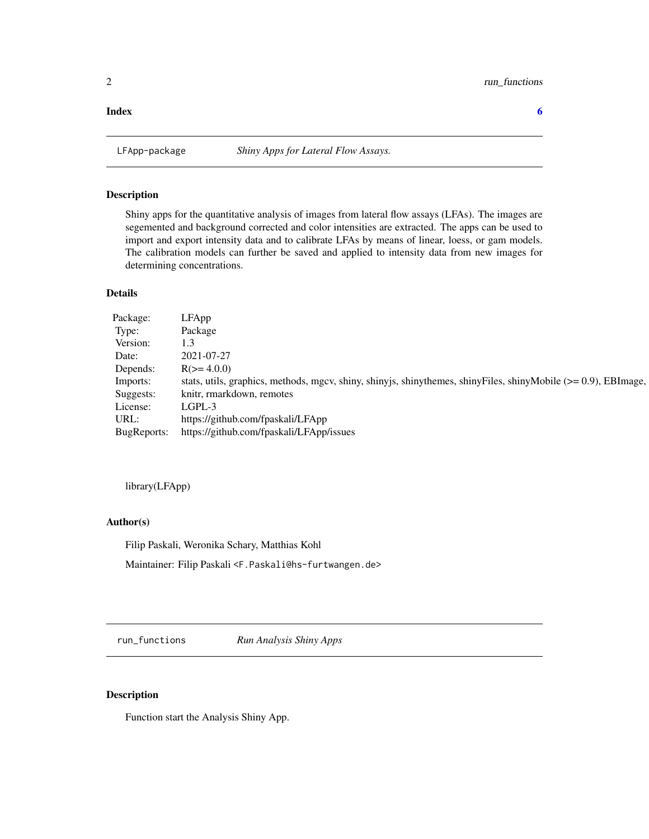#### <span id="page-1-0"></span>**Index** [6](#page-5-0) **6**

#### Description

Shiny apps for the quantitative analysis of images from lateral flow assays (LFAs). The images are segemented and background corrected and color intensities are extracted. The apps can be used to import and export intensity data and to calibrate LFAs by means of linear, loess, or gam models. The calibration models can further be saved and applied to intensity data from new images for determining concentrations.

#### Details

| Package:    | LFApp                                                                                                             |
|-------------|-------------------------------------------------------------------------------------------------------------------|
| Type:       | Package                                                                                                           |
| Version:    | 1.3                                                                                                               |
| Date:       | 2021-07-27                                                                                                        |
| Depends:    | $R$ ( $> = 4.0.0$ )                                                                                               |
| Imports:    | stats, utils, graphics, methods, mgcv, shiny, shinyjs, shinythemes, shinyFiles, shinyMobile $(>= 0.9)$ , EBImage, |
| Suggests:   | knitr, rmarkdown, remotes                                                                                         |
| License:    | LGPL-3                                                                                                            |
| URL:        | https://github.com/fpaskali/LFApp                                                                                 |
| BugReports: | https://github.com/fpaskali/LFApp/issues                                                                          |
|             |                                                                                                                   |

library(LFApp)

#### Author(s)

Filip Paskali, Weronika Schary, Matthias Kohl

Maintainer: Filip Paskali <F.Paskali@hs-furtwangen.de>

run\_functions *Run Analysis Shiny Apps*

#### Description

Function start the Analysis Shiny App.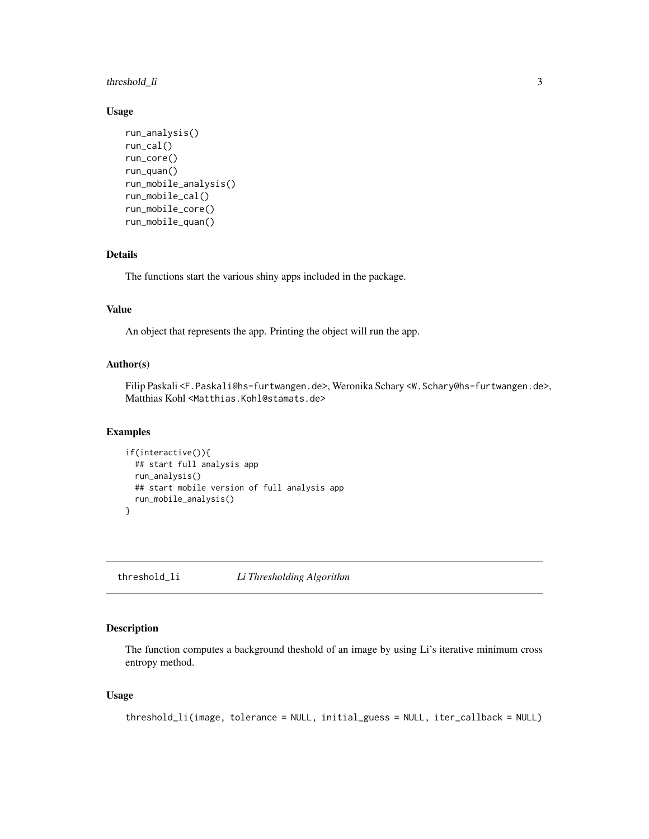#### <span id="page-2-0"></span>threshold\_li 3

#### Usage

```
run_analysis()
run_cal()
run_core()
run_quan()
run_mobile_analysis()
run_mobile_cal()
run_mobile_core()
run_mobile_quan()
```
#### Details

The functions start the various shiny apps included in the package.

#### Value

An object that represents the app. Printing the object will run the app.

#### Author(s)

Filip Paskali <F.Paskali@hs-furtwangen.de>, Weronika Schary <W.Schary@hs-furtwangen.de>, Matthias Kohl <Matthias.Kohl@stamats.de>

#### Examples

```
if(interactive()){
 ## start full analysis app
 run_analysis()
 ## start mobile version of full analysis app
 run_mobile_analysis()
}
```
threshold\_li *Li Thresholding Algorithm*

#### Description

The function computes a background theshold of an image by using Li's iterative minimum cross entropy method.

#### Usage

```
threshold_li(image, tolerance = NULL, initial_guess = NULL, iter_callback = NULL)
```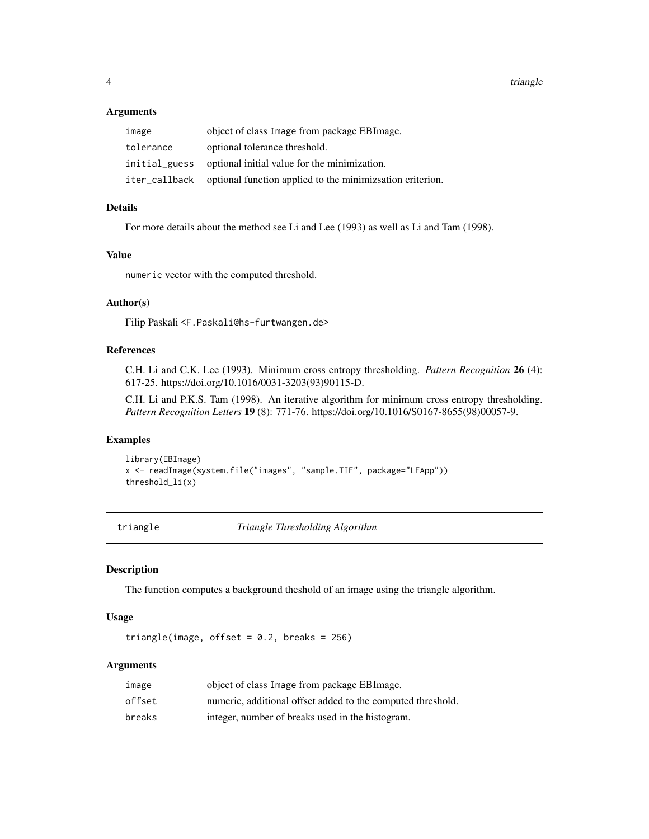4 triangle

#### **Arguments**

| image         | object of class Image from package EBImage.                              |
|---------------|--------------------------------------------------------------------------|
| tolerance     | optional tolerance threshold.                                            |
| initial_guess | optional initial value for the minimization.                             |
|               | iter_callback optional function applied to the minimizization criterion. |

#### Details

For more details about the method see Li and Lee (1993) as well as Li and Tam (1998).

#### Value

numeric vector with the computed threshold.

#### Author(s)

Filip Paskali <F.Paskali@hs-furtwangen.de>

#### References

C.H. Li and C.K. Lee (1993). Minimum cross entropy thresholding. *Pattern Recognition* 26 (4): 617-25. https://doi.org/10.1016/0031-3203(93)90115-D.

C.H. Li and P.K.S. Tam (1998). An iterative algorithm for minimum cross entropy thresholding. *Pattern Recognition Letters* 19 (8): 771-76. https://doi.org/10.1016/S0167-8655(98)00057-9.

#### Examples

```
library(EBImage)
x <- readImage(system.file("images", "sample.TIF", package="LFApp"))
threshold_li(x)
```
triangle *Triangle Thresholding Algorithm*

#### Description

The function computes a background theshold of an image using the triangle algorithm.

#### Usage

triangle(image, offset =  $0.2$ , breaks = 256)

#### **Arguments**

| image  | object of class Image from package EBI mage.                |
|--------|-------------------------------------------------------------|
| offset | numeric, additional offset added to the computed threshold. |
| breaks | integer, number of breaks used in the histogram.            |

<span id="page-3-0"></span>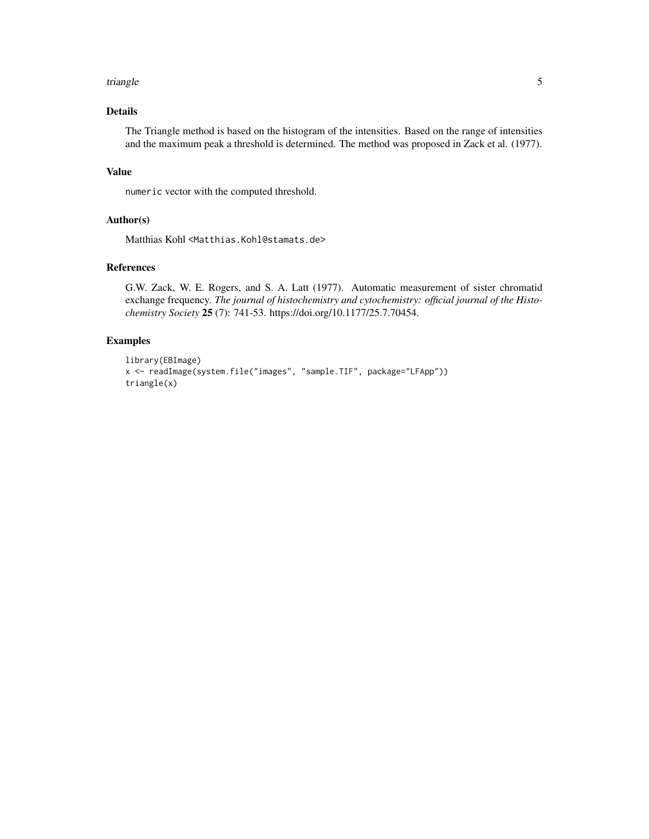#### triangle 5

#### Details

The Triangle method is based on the histogram of the intensities. Based on the range of intensities and the maximum peak a threshold is determined. The method was proposed in Zack et al. (1977).

#### Value

numeric vector with the computed threshold.

#### Author(s)

Matthias Kohl <Matthias.Kohl@stamats.de>

#### References

G.W. Zack, W. E. Rogers, and S. A. Latt (1977). Automatic measurement of sister chromatid exchange frequency. *The journal of histochemistry and cytochemistry: official journal of the Histochemistry Society* 25 (7): 741-53. https://doi.org/10.1177/25.7.70454.

#### Examples

```
library(EBImage)
x <- readImage(system.file("images", "sample.TIF", package="LFApp"))
triangle(x)
```